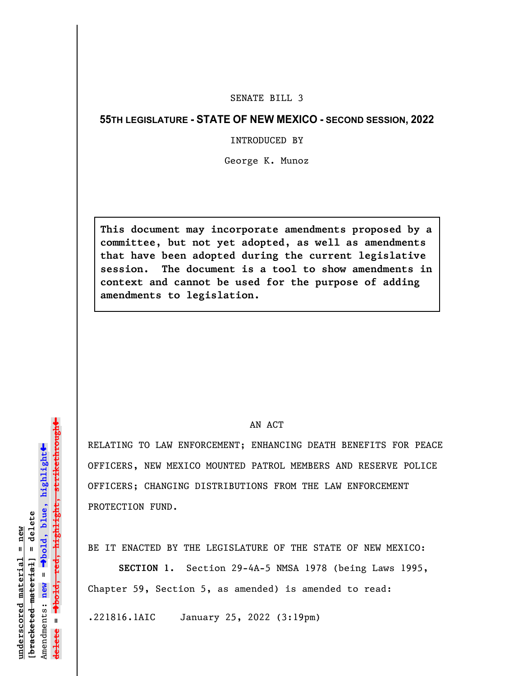## SENATE BILL 3

## **55TH LEGISLATURE - STATE OF NEW MEXICO - SECOND SESSION, 2022**

## INTRODUCED BY

George K. Munoz

**This document may incorporate amendments proposed by a committee, but not yet adopted, as well as amendments that have been adopted during the current legislative session. The document is a tool to show amendments in context and cannot be used for the purpose of adding amendments to legislation.**

## AN ACT

RELATING TO LAW ENFORCEMENT; ENHANCING DEATH BENEFITS FOR PEACE OFFICERS, NEW MEXICO MOUNTED PATROL MEMBERS AND RESERVE POLICE OFFICERS; CHANGING DISTRIBUTIONS FROM THE LAW ENFORCEMENT PROTECTION FUND.

BE IT ENACTED BY THE LEGISLATURE OF THE STATE OF NEW MEXICO:

**SECTION 1.** Section 29-4A-5 NMSA 1978 (being Laws 1995, Chapter 59, Section 5, as amended) is amended to read:

.221816.1AIC January 25, 2022 (3:19pm)

»º**bold, red, highlight, strikethrough** highlight, strikethrou  $\ddot{\bullet}$ º**bold, blue, highlight**  $b$ racketed material] = delete **[bracketed material] = delete** inderscored material = new **underscored material = new** Amendments: new = Amendments: **new** =  $\mathbf{u}$ **delete =** lelete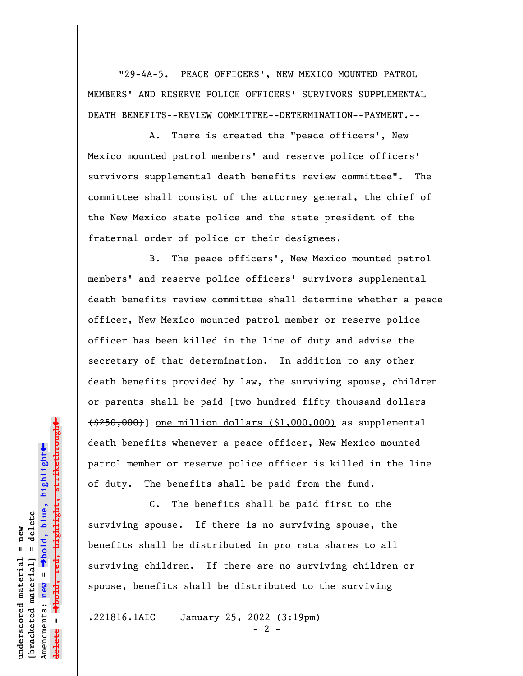"29-4A-5. PEACE OFFICERS', NEW MEXICO MOUNTED PATROL MEMBERS' AND RESERVE POLICE OFFICERS' SURVIVORS SUPPLEMENTAL DEATH BENEFITS--REVIEW COMMITTEE--DETERMINATION--PAYMENT.--

A. There is created the "peace officers', New Mexico mounted patrol members' and reserve police officers' survivors supplemental death benefits review committee". The committee shall consist of the attorney general, the chief of the New Mexico state police and the state president of the fraternal order of police or their designees.

B. The peace officers', New Mexico mounted patrol members' and reserve police officers' survivors supplemental death benefits review committee shall determine whether a peace officer, New Mexico mounted patrol member or reserve police officer has been killed in the line of duty and advise the secretary of that determination. In addition to any other death benefits provided by law, the surviving spouse, children or parents shall be paid [two hundred fifty thousand dollars (\$250,000)] one million dollars (\$1,000,000) as supplemental death benefits whenever a peace officer, New Mexico mounted patrol member or reserve police officer is killed in the line of duty. The benefits shall be paid from the fund.

C. The benefits shall be paid first to the surviving spouse. If there is no surviving spouse, the benefits shall be distributed in pro rata shares to all surviving children. If there are no surviving children or spouse, benefits shall be distributed to the surviving

.221816.1AIC January 25, 2022 (3:19pm)

 $- 2 -$ 

» +bold, red, highlight, strikethrough º**bold, red, highlight, strikethrough**  $\ddot{\bullet}$ º**bold, blue, highlight**  $b$ racketed material] = delete **[bracketed material] = delete** inderscored material = new **underscored material = new** Amendments: **new** = Amendments: new =  $\mathbf{I}$ **delete =**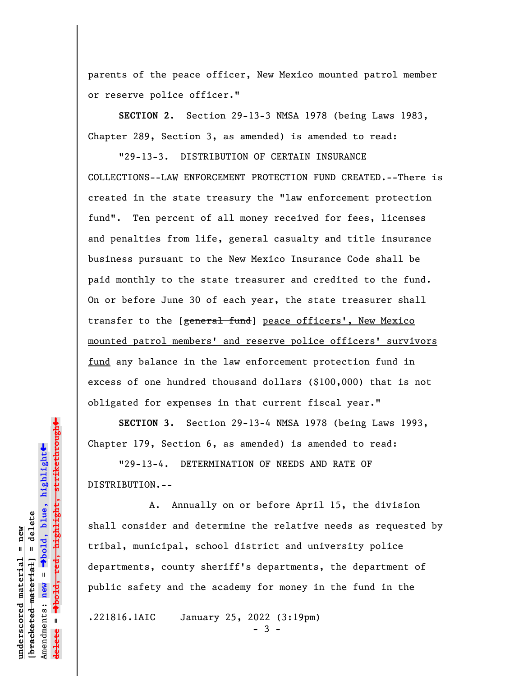parents of the peace officer, New Mexico mounted patrol member or reserve police officer."

**SECTION 2.** Section 29-13-3 NMSA 1978 (being Laws 1983, Chapter 289, Section 3, as amended) is amended to read:

"29-13-3. DISTRIBUTION OF CERTAIN INSURANCE COLLECTIONS--LAW ENFORCEMENT PROTECTION FUND CREATED.--There is created in the state treasury the "law enforcement protection fund". Ten percent of all money received for fees, licenses and penalties from life, general casualty and title insurance business pursuant to the New Mexico Insurance Code shall be paid monthly to the state treasurer and credited to the fund. On or before June 30 of each year, the state treasurer shall transfer to the [general fund] peace officers', New Mexico mounted patrol members' and reserve police officers' survivors fund any balance in the law enforcement protection fund in excess of one hundred thousand dollars (\$100,000) that is not obligated for expenses in that current fiscal year."

**SECTION 3.** Section 29-13-4 NMSA 1978 (being Laws 1993, Chapter 179, Section 6, as amended) is amended to read:

"29-13-4. DETERMINATION OF NEEDS AND RATE OF DISTRIBUTION.--

A. Annually on or before April 15, the division shall consider and determine the relative needs as requested by tribal, municipal, school district and university police departments, county sheriff's departments, the department of public safety and the academy for money in the fund in the

.221816.1AIC January 25, 2022 (3:19pm)

- 3 -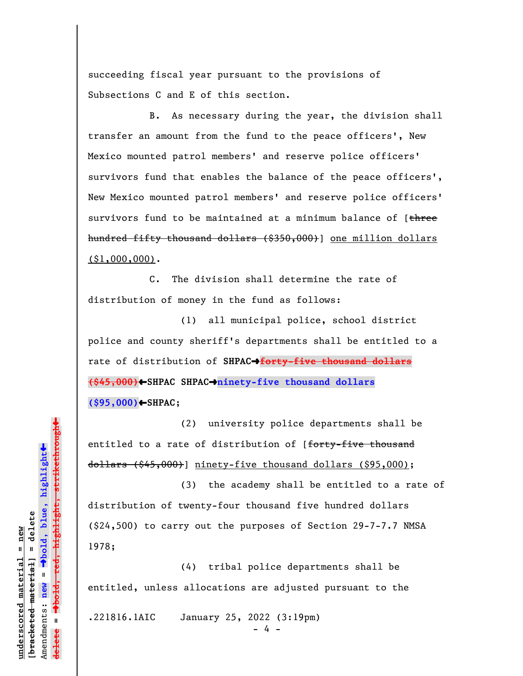succeeding fiscal year pursuant to the provisions of Subsections C and E of this section.

B. As necessary during the year, the division shall transfer an amount from the fund to the peace officers', New Mexico mounted patrol members' and reserve police officers' survivors fund that enables the balance of the peace officers', New Mexico mounted patrol members' and reserve police officers' survivors fund to be maintained at a minimum balance of  $f$ three hundred fifty thousand dollars (\$350,000)] one million dollars (\$1,000,000).

C. The division shall determine the rate of distribution of money in the fund as follows:

(1) all municipal police, school district police and county sheriff's departments shall be entitled to a rate of distribution of SHPAC<sup>++</sup>forty-five thousand dollars **(\$45,000)**»**SHPAC SHPAC**º**ninety-five thousand dollars (\$95,000)**»**SHPAC**;

(2) university police departments shall be entitled to a rate of distribution of [forty-five thousand  $\frac{d{\theta}}{dx}$  (\$45,000)] ninety-five thousand dollars (\$95,000);

(3) the academy shall be entitled to a rate of distribution of twenty-four thousand five hundred dollars (\$24,500) to carry out the purposes of Section 29-7-7.7 NMSA 1978;

(4) tribal police departments shall be entitled, unless allocations are adjusted pursuant to the

.221816.1AIC January 25, 2022 (3:19pm)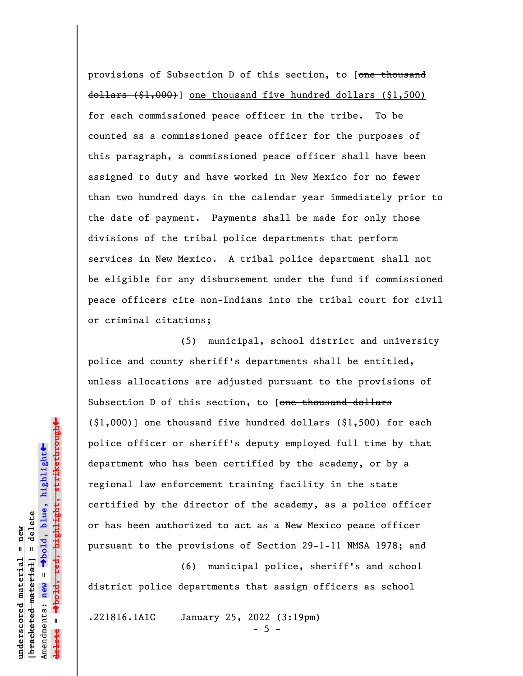provisions of Subsection D of this section, to [one thousand  $d$ ollars  $(\$1,000)$  one thousand five hundred dollars  $(\$1,500)$ for each commissioned peace officer in the tribe. To be counted as a commissioned peace officer for the purposes of this paragraph, a commissioned peace officer shall have been assigned to duty and have worked in New Mexico for no fewer than two hundred days in the calendar year immediately prior to the date of payment. Payments shall be made for only those divisions of the tribal police departments that perform services in New Mexico. A tribal police department shall not be eligible for any disbursement under the fund if commissioned peace officers cite non-Indians into the tribal court for civil or criminal citations;

(5) municipal, school district and university police and county sheriff's departments shall be entitled, unless allocations are adjusted pursuant to the provisions of Subsection D of this section, to [one thousand dollars (\$1,000)] one thousand five hundred dollars (\$1,500) for each police officer or sheriff's deputy employed full time by that department who has been certified by the academy, or by a regional law enforcement training facility in the state certified by the director of the academy, as a police officer or has been authorized to act as a New Mexico peace officer pursuant to the provisions of Section 29-1-11 NMSA 1978; and

(6) municipal police, sheriff's and school district police departments that assign officers as school

.221816.1AIC January 25, 2022 (3:19pm)

- 5 -

-bold, red, highlight, strikethrough º**bold, red, highlight, strikethrough**  $\ddot{\bullet}$ º**bold, blue, highlight**  $b$ racketed material] = delete **[bracketed material] = delete** inderscored material = new **underscored material = new** Amendments: **new** = Amendments: new = **delete =**

»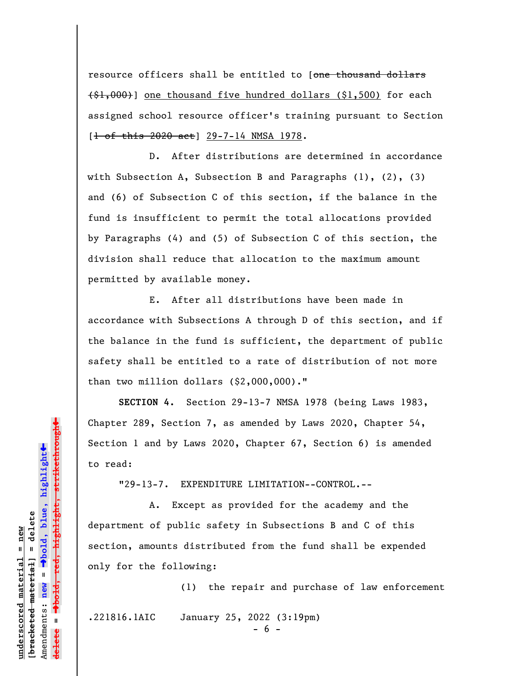resource officers shall be entitled to [one thousand dollars  $(1,000)$ ] one thousand five hundred dollars  $(1,500)$  for each assigned school resource officer's training pursuant to Section [<del>1 of this 2020 act</del>] 29-7-14 NMSA 1978.

D. After distributions are determined in accordance with Subsection A, Subsection B and Paragraphs (1), (2), (3) and (6) of Subsection C of this section, if the balance in the fund is insufficient to permit the total allocations provided by Paragraphs (4) and (5) of Subsection C of this section, the division shall reduce that allocation to the maximum amount permitted by available money.

E. After all distributions have been made in accordance with Subsections A through D of this section, and if the balance in the fund is sufficient, the department of public safety shall be entitled to a rate of distribution of not more than two million dollars (\$2,000,000)."

**SECTION 4.** Section 29-13-7 NMSA 1978 (being Laws 1983, Chapter 289, Section 7, as amended by Laws 2020, Chapter 54, Section 1 and by Laws 2020, Chapter 67, Section 6) is amended to read:

"29-13-7. EXPENDITURE LIMITATION--CONTROL.--

A. Except as provided for the academy and the department of public safety in Subsections B and C of this section, amounts distributed from the fund shall be expended only for the following:

(1) the repair and purchase of law enforcement

.221816.1AIC January 25, 2022 (3:19pm)

- 6 -

» red<del>, highlight, strikethrough</del> º**bold, red, highlight, strikethrough**  $\ddot{\bullet}$ º**bold, blue, highlight**  $b$ racketed material] = delete **[bracketed material] = delete** inderscored material = new **underscored material = new** Amendments: **new** =  $\mathbf{I}$ Amendments: new **delete =**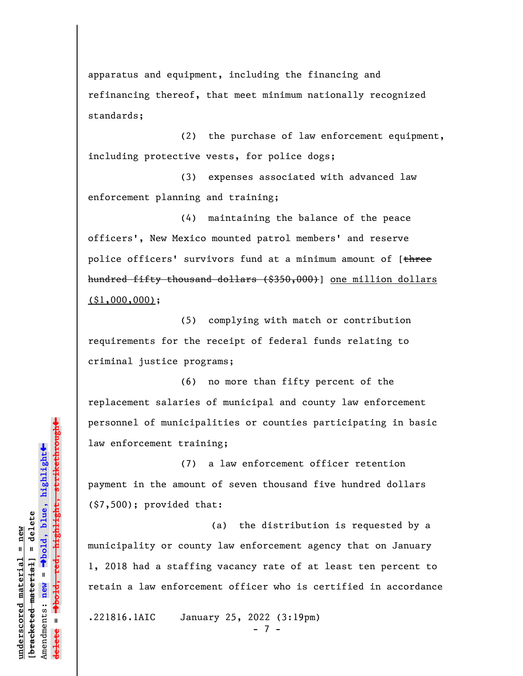apparatus and equipment, including the financing and refinancing thereof, that meet minimum nationally recognized standards;

(2) the purchase of law enforcement equipment, including protective vests, for police dogs;

(3) expenses associated with advanced law enforcement planning and training;

(4) maintaining the balance of the peace officers', New Mexico mounted patrol members' and reserve police officers' survivors fund at a minimum amount of  $[there$ hundred fifty thousand dollars (\$350,000) one million dollars  $($ \$1,000,000);

(5) complying with match or contribution requirements for the receipt of federal funds relating to criminal justice programs;

(6) no more than fifty percent of the replacement salaries of municipal and county law enforcement personnel of municipalities or counties participating in basic law enforcement training;

(7) a law enforcement officer retention payment in the amount of seven thousand five hundred dollars (\$7,500); provided that:

(a) the distribution is requested by a municipality or county law enforcement agency that on January 1, 2018 had a staffing vacancy rate of at least ten percent to retain a law enforcement officer who is certified in accordance

.221816.1AIC January 25, 2022 (3:19pm)

- 7 -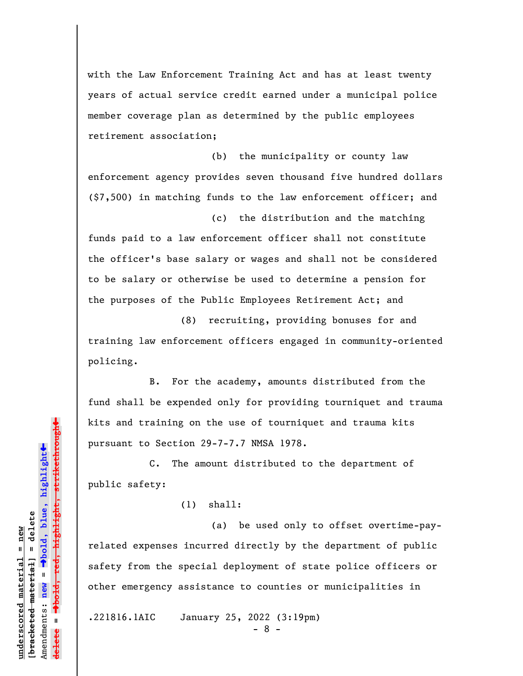with the Law Enforcement Training Act and has at least twenty years of actual service credit earned under a municipal police member coverage plan as determined by the public employees retirement association;

(b) the municipality or county law enforcement agency provides seven thousand five hundred dollars (\$7,500) in matching funds to the law enforcement officer; and

(c) the distribution and the matching funds paid to a law enforcement officer shall not constitute the officer's base salary or wages and shall not be considered to be salary or otherwise be used to determine a pension for the purposes of the Public Employees Retirement Act; and

(8) recruiting, providing bonuses for and training law enforcement officers engaged in community-oriented policing.

B. For the academy, amounts distributed from the fund shall be expended only for providing tourniquet and trauma kits and training on the use of tourniquet and trauma kits pursuant to Section 29-7-7.7 NMSA 1978.

C. The amount distributed to the department of public safety:

(1) shall:

(a) be used only to offset overtime-payrelated expenses incurred directly by the department of public safety from the special deployment of state police officers or other emergency assistance to counties or municipalities in

.221816.1AIC January 25, 2022 (3:19pm)

- 8 -

» highlight, strikethrough º**bold, red, highlight, strikethrough**  $\ddot{\bullet}$ º**bold, blue, highlight** bracketed material] = delete **[bracketed material] = delete** inderscored material = new **underscored material = new** Amendments: **new** =  $\mathbf{I}$ Amendments: new **delete =**